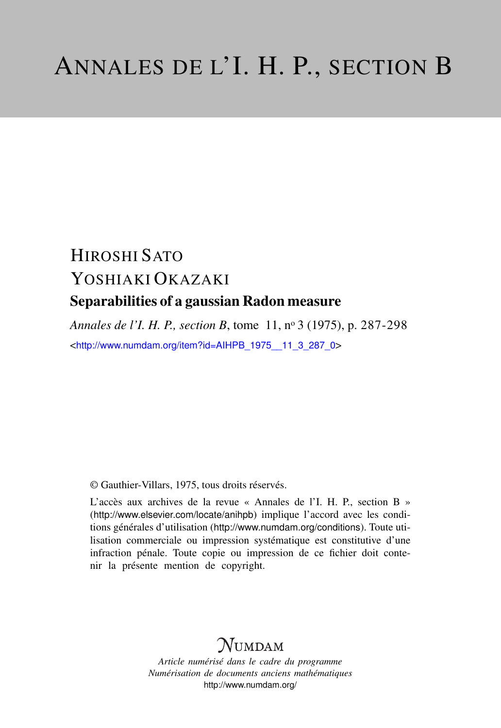# HIROSHI SATO YOSHIAKI OKAZAKI Separabilities of a gaussian Radon measure

*Annales de l'I. H. P., section B*, tome 11, n<sup>o</sup> 3 (1975), p. 287-298 <[http://www.numdam.org/item?id=AIHPB\\_1975\\_\\_11\\_3\\_287\\_0](http://www.numdam.org/item?id=AIHPB_1975__11_3_287_0)>

© Gauthier-Villars, 1975, tous droits réservés.

L'accès aux archives de la revue « Annales de l'I. H. P., section B » (<http://www.elsevier.com/locate/anihpb>) implique l'accord avec les conditions générales d'utilisation (<http://www.numdam.org/conditions>). Toute utilisation commerciale ou impression systématique est constitutive d'une infraction pénale. Toute copie ou impression de ce fichier doit contenir la présente mention de copyright.

## $N$ UMDAM

*Article numérisé dans le cadre du programme Numérisation de documents anciens mathématiques* <http://www.numdam.org/>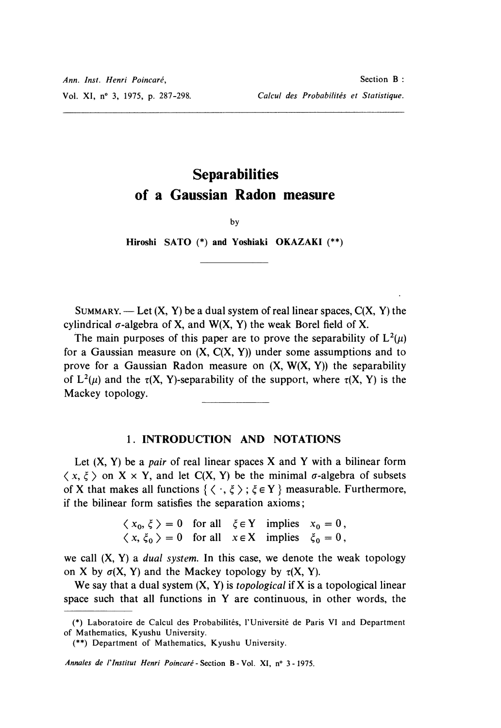### **Separabilities** of a Gaussian Radon measure

by

Hiroshi SATO (\*) and Yoshiaki OKAZAKI (\*\*)

SUMMARY. — Let  $(X, Y)$  be a dual system of real linear spaces,  $C(X, Y)$  the cylindrical  $\sigma$ -algebra of X, and W(X, Y) the weak Borel field of X.

The main purposes of this paper are to prove the separability of  $L^2(\mu)$ for a Gaussian measure on  $(X, C(X, Y))$  under some assumptions and to prove for a Gaussian Radon measure on  $(X, W(X, Y))$  the separability of  $L^2(\mu)$  and the  $\tau(X, Y)$ -separability of the support, where  $\tau(X, Y)$  is the Mackey topology.

#### 1. INTRODUCTION AND NOTATIONS

Let  $(X, Y)$  be a *pair* of real linear spaces X and Y with a bilinear form  $\langle x, \xi \rangle$  on  $X \times Y$ , and let C(X, Y) be the minimal  $\sigma$ -algebra of subsets of X that makes all functions  $\{ \langle \cdot, \xi \rangle : \xi \in Y \}$  measurable. Furthermore, if the bilinear form satisfies the separation axioms ;

> $= 0$  for all  $\xi \in Y$  implies  $x_0 = 0$ ,  $x, \xi_0 > 0$  for all  $x \in X$  implies  $\xi_0 = 0$ ,

we call  $(X, Y)$  a *dual system*. In this case, we denote the weak topology on X by  $\sigma(X, Y)$  and the Mackey topology by  $\tau(X, Y)$ .

We say that a dual system  $(X, Y)$  is *topological* if X is a topological linear space such that all functions in Y are continuous, in other words, the

Annales de l'Institut Henri Poincaré - Section B - Vol. XI, n° 3 - 1975.

<sup>(\*)</sup> Laboratoire de Calcul des Probabilites, I'Université de Paris VI and Department of Mathematics, Kyushu University.

<sup>(\*\*)</sup> Department of Mathematics, Kyushu University.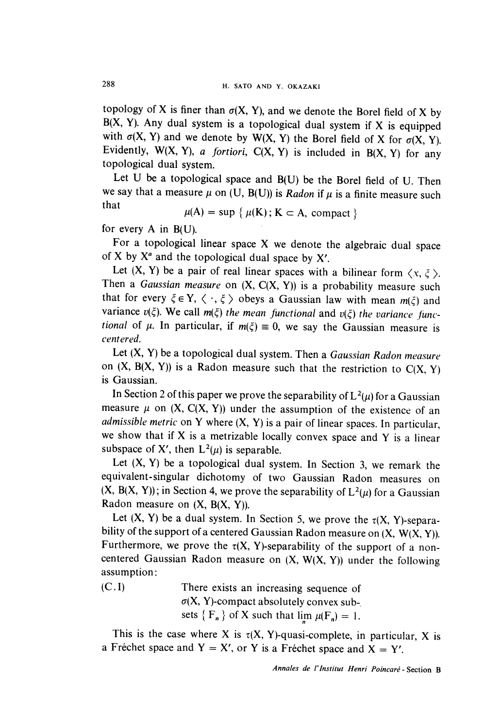topology of X is finer than  $\sigma(X, Y)$ , and we denote the Borel field of X by B(X, Y). Any dual system is a topological dual system if X is equipped with  $\sigma(X, Y)$  and we denote by W(X, Y) the Borel field of X for  $\sigma(X, Y)$ . Evidently,  $W(X, Y)$ , a fortiori,  $C(X, Y)$  is included in  $B(X, Y)$  for any topological dual system.<br>Let U be a topological space and B(U) be the Borel field of U. Then

we say that a measure  $\mu$  on (U, B(U)) is Radon if  $\mu$  is a finite measure such that

$$
\mu(A) = \sup \{ \mu(K) \, ; \, K \subset A, \text{ compact} \}
$$

for every  $A$  in  $B(U)$ .

For a topological linear space  $X$  we denote the algebraic dual space of X by  $X^a$  and the topological dual space by  $X'$ .

Let  $(X, Y)$  be a pair of real linear spaces with a bilinear form  $\langle x, \xi \rangle$ . Then a Gaussian measure on  $(X, C(X, Y))$  is a probability measure such that for every  $\xi \in Y$ ,  $\langle \cdot, \xi \rangle$  obeys a Gaussian law with mean  $m(\xi)$  and variance  $v(\xi)$ . We call  $m(\xi)$  the mean functional and  $v(\xi)$  the variance functional of  $\mu$ . In particular, if  $m(\xi) \equiv 0$ , we say the Gaussian measure is centered.

Let  $(X, Y)$  be a topological dual system. Then a Gaussian Radon measure on  $(X, B(X, Y))$  is a Radon measure such that the restriction to  $C(X, Y)$ is Gaussian.

In Section 2 of this paper we prove the separability of  $L^2(\mu)$  for a Gaussian measure  $\mu$  on  $(X, C(X, Y))$  under the assumption of the existence of an *admissible metric* on Y where  $(X, Y)$  is a pair of linear spaces. In particular, we show that if X is a metrizable locally convex space and Y is a linear subspace of X', then  $L^2(\mu)$  is separable.

Let  $(X, Y)$  be a topological dual system. In Section 3, we remark the equivalent-singular dichotomy of two Gaussian Radon measures on  $(X, B(X, Y))$ ; in Section 4, we prove the separability of  $L^2(\mu)$  for a Gaussian Radon measure on  $(X, B(X, Y))$ .

Let  $(X, Y)$  be a dual system. In Section 5, we prove the  $\tau(X, Y)$ -separability of the support of a centered Gaussian Radon measure on  $(X, W(X, Y))$ . Furthermore, we prove the  $\tau(X, Y)$ -separability of the support of a noncentered Gaussian Radon measure on  $(X, W(X, Y))$  under the following assumption :

(C. I) There exists an increasing sequence of  $\sigma(X, Y)$ -compact absolutely convex subsets  $\{F_n\}$  of X such that  $\lim_{n \to \infty} \mu(F_n) = 1$ .

This is the case where X is  $\tau(X, Y)$ -quasi-complete, in particular, X is a Fréchet space and  $Y = X'$ , or Y is a Fréchet space and  $X = Y'$ .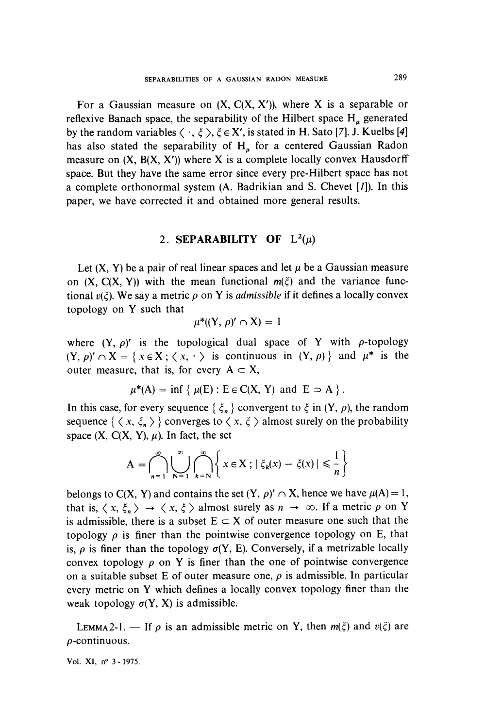For a Gaussian measure on  $(X, C(X, X'))$ , where X is a separable or reflexive Banach space, the separability of the Hilbert space  $H_{\mu}$  generated by the random variables  $\langle \cdot, \xi \rangle$ ,  $\xi \in X'$ , is stated in H. Sato [7]. J. Kuelbs [4] has also stated the separability of  $H<sub>u</sub>$  for a centered Gaussian Radon measure on  $(X, B(X, X'))$  where X is a complete locally convex Hausdorff space. But they have the same error since every pre-Hilbert space has not a complete orthonormal system (A. Badrikian and S. Chevet [1]). In this paper, we have corrected it and obtained more general results.

#### 2. SEPARABILITY OF  $L^2(\mu)$

Let  $(X, Y)$  be a pair of real linear spaces and let  $\mu$  be a Gaussian measure on  $(X, C(X, Y))$  with the mean functional  $m(\xi)$  and the variance functional  $v(\xi)$ . We say a metric  $\rho$  on Y is *admissible* if it defines a locally convex topology on Y such that

$$
\mu^*((Y,\,\rho)'\cap X)=1
$$

where  $(Y, \rho)'$  is the topological dual space of Y with  $\rho$ -topology  $(Y, \rho)' \cap X = \{x \in X; \langle x, \cdot \rangle \text{ is continuous in } (Y, \rho) \}$  and  $\mu^*$  is the outer measure, that is, for every  $A \subset X$ ,

$$
\mu^*(A) = \inf \{ \mu(E) : E \in C(X, Y) \text{ and } E \supset A \}.
$$

In this case, for every sequence  $\{\xi_n\}$  convergent to  $\xi$  in  $(Y, \rho)$ , the random sequence  $\{ \langle x, \xi_n \rangle \}$  converges to  $\langle x, \xi \rangle$  almost surely on the probability space  $(X, C(X, Y), \mu)$ . In fact, the set

$$
A = \bigcap_{n=1}^{\infty} \bigcup_{N=1}^{\infty} \bigcap_{k=N}^{\infty} \left\{ x \in X ; |\xi_k(x) - \xi(x)| \leq \frac{1}{n} \right\}
$$

belongs to C(X, Y) and contains the set  $(Y, \rho)' \cap X$ , hence we have  $\mu(A) = 1$ , that is,  $\langle x, \xi_n \rangle \rightarrow \langle x, \xi \rangle$  almost surely as  $n \rightarrow \infty$ . If a metric  $\rho$  on Y is admissible, there is a subset  $E \subset X$  of outer measure one such that the topology  $\rho$  is finer than the pointwise convergence topology on E, that is,  $\rho$  is finer than the topology  $\sigma(Y, E)$ . Conversely, if a metrizable locally convex topology  $\rho$  on Y is finer than the one of pointwise convergence on a suitable subset E of outer measure one,  $\rho$  is admissible. In particular every metric on Y which defines a locally convex topology finer than the weak topology  $\sigma(Y, X)$  is admissible.

LEMMA2-1. — If  $\rho$  is an admissible metric on Y, then  $m(\xi)$  and  $v(\xi)$  are  $\rho$ -continuous.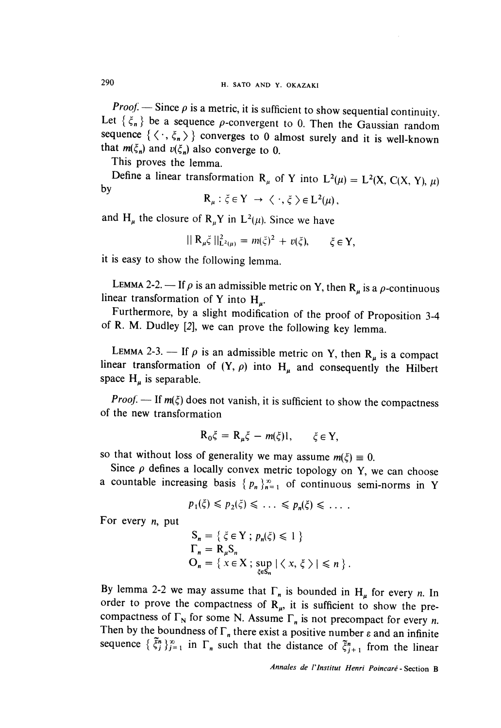**Proof:**  $\rightarrow$  Since  $\rho$  is a metric, it is sufficient to show sequential continuity. Let  $\{\xi_n\}$  be a sequence  $\rho$ -convergent to 0. Then the Gaussian random sequence  $\{\langle \cdot, \xi_n \rangle\}$  converges to 0 almost surely and it is well-known that  $m(\xi_n)$  and  $v(\xi_n)$  also converge to 0.

This proves the lemma.

Define a linear transformation R<sub>u</sub> of Y into  $L^2(\mu) = L^2(X, C(X, Y), \mu)$  by

$$
\mathsf{R}_{\mu} : \xi \in \mathrm{Y} \rightarrow \langle \cdot, \xi \rangle \in \mathrm{L}^{2}(\mu),
$$

and H<sub> $\mu$ </sub> the closure of R<sub>u</sub>Y in L<sup>2</sup>( $\mu$ ). Since we have

 $||R_u\xi||_{L^2(u)}^2 = m(\xi)^2 + v(\xi), \quad \xi \in Y.$ 

it is easy to show the following lemma.

LEMMA 2-2. -- If  $\rho$  is an admissible metric on Y, then  $R_{\mu}$  is a  $\rho$ -continuous linear transformation of Y into H<sub>n</sub>.

Furthermore, by a slight modification of the proof of Proposition 3-4 of R. M. Dudley [2], we can prove the following key lemma.

LEMMA 2-3. — If  $\rho$  is an admissible metric on Y, then R<sub>u</sub> is a compact linear transformation of  $(Y, \rho)$  into H<sub>u</sub> and consequently the Hilbert space  $H_u$  is separable.

*Proof.* — If  $m(\xi)$  does not vanish, it is sufficient to show the compactness of the new transformation

$$
R_0\xi = R_\mu \xi - m(\xi)l, \qquad \xi \in Y,
$$

so that without loss of generality we may assume  $m(\xi) \equiv 0$ .

Since  $\rho$  defines a locally convex metric topology on Y, we can choose a countable increasing basis  $\{p_n\}_{n=1}^{\infty}$  of continuous semi-norms in Y

$$
p_1(\xi) \leqslant p_2(\xi) \leqslant \ldots \leqslant p_n(\xi) \leqslant \ldots
$$

For every  $n$ , put

$$
S_n = \{ \xi \in Y ; p_n(\xi) \le 1 \}
$$
  
\n
$$
\Gamma_n = R_\mu S_n
$$
  
\n
$$
O_n = \{ x \in X ; \sup_{\xi \in S_n} |\langle x, \xi \rangle| \le n \}.
$$

By lemma 2-2 we may assume that  $\Gamma_n$  is bounded in  $H_{\mu}$  for every *n*. In order to prove the compactness of  $\mathbb{R}_{\mu}$ , it is sufficient to show the precompactness of  $\Gamma_N$  for some N. Assume  $\Gamma_n$  is not precompact for every n. Then by the boundness of  $\Gamma_n$  there exist a positive number  $\varepsilon$  and an infinite sequence  $\{\xi_j^n\}_{j=1}^{\infty}$  in  $\Gamma_n$  such that the distance of  $\xi_{j+1}^n$  from the linear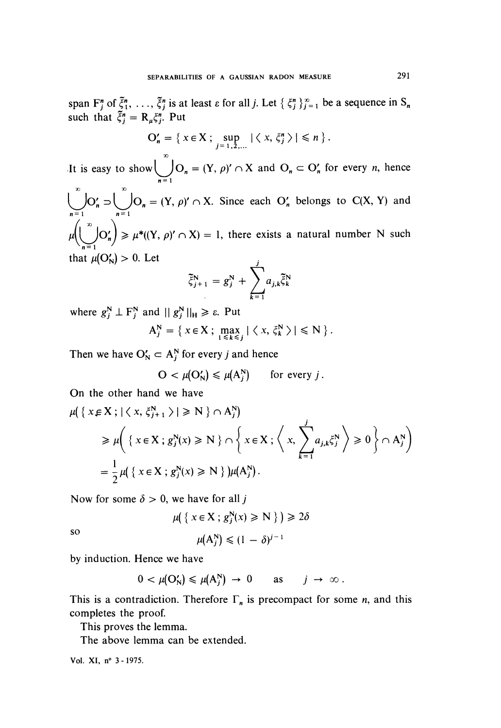span  $F_j^n$  of  $\xi_1^n$ , ...,  $\xi_j^n$  is at least  $\varepsilon$  for all j. Let  $\{\xi_j^n\}_{j=1}^\infty$  be a sequence in  $S_n$ such that  $\tilde{\xi}_j^n = \mathbf{R}_{\mu} \xi_j^n$ . Put

$$
\mathcal{O}'_n = \left\{ x \in \mathcal{X} ; \sup_{j=1,2,\dots} |\langle x, \xi_j^n \rangle| \leq n \right\}.
$$

It is easy to show  $\bigcup_{n=1}^{\infty} O_n = (Y, \rho)' \cap X$  and  $O_n \subset O'_n$  for every *n*, hence

 $\bigcup_{n=0}^{\infty} O'_n = \bigcup_{n=0}^{\infty} O_n = (Y, \rho)' \cap X$ . Since each  $O'_n$  belongs to  $C(X, Y)$  and

 $\mu\left(\bigcup_{n=1}^{\infty} O'_n\right) \ge \mu^*((Y, \rho)' \cap X) = 1$ , there exists a natural number N such that  $\mu(O'_N) > 0$ . Let

$$
\tilde{\xi}_{j+1}^N = g_j^N + \sum_{k=1}^j a_{j,k} \tilde{\xi}_k^N
$$

where  $g_i^N \perp F_i^N$  and  $||g_i^N||_H \ge \varepsilon$ . Put

$$
A_j^N = \left\{ x \in X ; \max_{1 \leq k \leq j} |\langle x, \xi_k^N \rangle| \leq N \right\}.
$$

Then we have  $O_N' \subset A_j^N$  for every j and hence

$$
O < \mu(O_N') \leq \mu(A_j^N) \qquad \text{for every } j.
$$

On the other hand we have

$$
\mu\left(\left\{x \in X; |\langle x, \xi_{j+1}^{N}\rangle| \geq N\right\} \cap A_{j}^{N}\right)
$$
\n
$$
\geq \mu\left(\left\{x \in X; g_{j}^{N}(x) \geq N\right\} \cap \left\{x \in X; \left\langle x, \sum_{k=1}^{j} a_{j,k} \xi_{j}^{N}\right\rangle \geq 0\right\} \cap A_{j}^{N}\right)
$$
\n
$$
= \frac{1}{2} \mu\left(\left\{x \in X; g_{j}^{N}(x) \geq N\right\}\right) \mu(A_{j}^{N}).
$$

Now for some  $\delta > 0$ , we have for all j

$$
\mu\big(\left\{\,x\in X\,;\,g_j^N(x)\geq N\,\right\}\,\big)\geq 2\delta
$$

so

$$
\mu(A_j^N) \leq (1 - \delta)^{j-1}
$$

by induction. Hence we have

$$
0 < \mu(O_N') \leq \mu(A_j^N) \to 0 \quad \text{as} \quad j \to \infty \, .
$$

This is a contradiction. Therefore  $\Gamma_n$  is precompact for some *n*, and this completes the proof.

This proves the lemma.

The above lemma can be extended.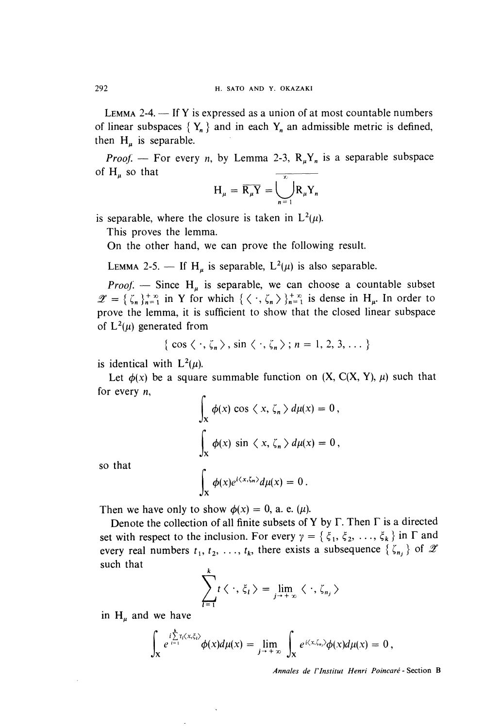LEMMA 2-4.  $\overline{\phantom{a}}$  If Y is expressed as a union of at most countable numbers of linear subspaces  $\{Y_n\}$  and in each  $Y_n$  an admissible metric is defined, then  $H_u$  is separable.

*Proof.* - For every *n*, by Lemma 2-3,  $R_{\mu}Y_{n}$  is a separable subspace of  $H_u$  so that

$$
H_{\mu} = \overline{R_{\mu}Y} = \bigcup_{n=1}^{\infty} R_{\mu}Y_n
$$

is separable, where the closure is taken in  $L^2(\mu)$ .

This proves the lemma.

On the other hand, we can prove the following result.

LEMMA 2-5. — If H<sub>u</sub> is separable,  $L^2(\mu)$  is also separable.

*Proof.* - Since  $H_u$  is separable, we can choose a countable subset  $\mathscr{Z} = {\{\zeta_n\}}_{n=1}^{+\infty}$  in Y for which  ${\{\langle \cdot, \zeta_n \rangle\}}_{n=1}^{+\infty}$  is dense in H<sub>µ</sub>. In order to prove the lemma, it is sufficient to show that the closed linear subspace of  $L^2(\mu)$  generated from

$$
\{ \cos \langle \cdot , \zeta_n \rangle, \sin \langle \cdot , \zeta_n \rangle ; n = 1, 2, 3, \dots \}
$$

is identical with  $L^2(\mu)$ .

Let  $\phi(x)$  be a square summable function on  $(X, C(X, Y), \mu)$  such that for every  $n$ ,

$$
\int_{X} \phi(x) \cos \langle x, \zeta_{n} \rangle d\mu(x) = 0,
$$
  

$$
\int_{X} \phi(x) \sin \langle x, \zeta_{n} \rangle d\mu(x) = 0,
$$
  

$$
\int_{X} \phi(x) e^{i \langle x, \zeta_{n} \rangle} d\mu(x) = 0
$$

so that

$$
\int_{\mathbf{X}} \phi(x) e^{i \langle x, \zeta_n \rangle} d\mu(x) = 0.
$$

Then we have only to show  $\phi(x) = 0$ , a. e. ( $\mu$ ).

Denote the collection of all finite subsets of Y by  $\Gamma$ . Then  $\Gamma$  is a directed set with respect to the inclusion. For every  $\gamma = \{\xi_1, \xi_2, ..., \xi_k\}$  in  $\Gamma$  and every real numbers  $t_1, t_2, \ldots, t_k$ , there exists a subsequence  $\{\zeta_{n_i}\}\$  of  $\mathscr X$ such that

$$
\sum_{l=1}^k t \langle \cdot, \xi_l \rangle = \lim_{j \to +\infty} \langle \cdot, \zeta_{n_j} \rangle
$$

in  $H_u$  and we have

$$
\int_{\mathbf{X}} e^{i\sum\limits_{i=1}^{k}t_i\langle x,\xi_i\rangle} \phi(x)d\mu(x) = \lim\limits_{j\to+\infty}\int_{\mathbf{X}} e^{i\langle x,\xi_n\rangle} \phi(x)d\mu(x) = 0,
$$

Annales de l'Institut Henri Poincaré - Section B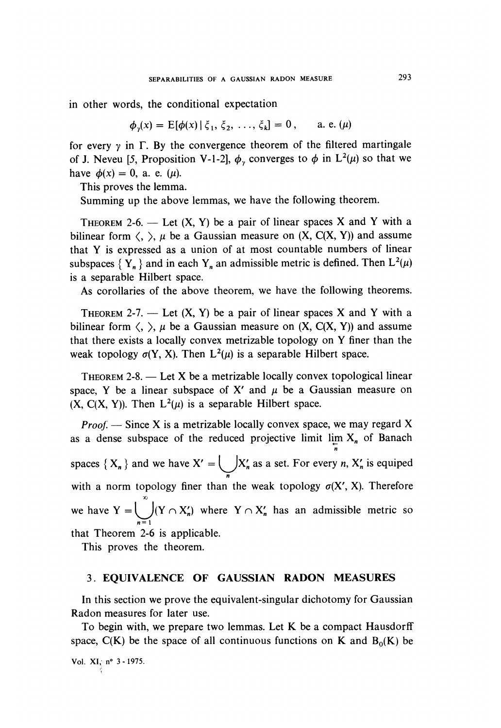in other words, the conditional expectation

 $\phi_n(x) = E[\phi(x) | \xi_1, \xi_2, \ldots, \xi_k] = 0$ , a. e. (µ)

for every  $\gamma$  in  $\Gamma$ . By the convergence theorem of the filtered martingale of J. Neveu [5, Proposition V-1-2],  $\phi_{\nu}$  converges to  $\phi$  in L<sup>2</sup>( $\mu$ ) so that we have  $\phi(x) = 0$ , a. e.  $(\mu)$ .

This proves the lemma.

Summing up the above lemmas, we have the following theorem.

THEOREM 2-6. — Let  $(X, Y)$  be a pair of linear spaces X and Y with a bilinear form  $\langle, \rangle$ ,  $\mu$  be a Gaussian measure on  $(X, C(X, Y))$  and assume that Y is expressed as a union of at most countable numbers of linear subspaces  $\{Y_n\}$  and in each  $Y_n$  an admissible metric is defined. Then  $L^2(\mu)$ is a separable Hilbert space.

As corollaries of the above theorem, we have the following theorems.

THEOREM 2-7. — Let  $(X, Y)$  be a pair of linear spaces X and Y with a bilinear form  $\langle, \rangle$ ,  $\mu$  be a Gaussian measure on  $(X, C(X, Y))$  and assume that there exists a locally convex metrizable topology on Y finer than the weak topology  $\sigma(Y, X)$ . Then  $L^2(\mu)$  is a separable Hilbert space.

THEOREM 2-8.  $-$  Let X be a metrizable locally convex topological linear space, Y be a linear subspace of X' and  $\mu$  be a Gaussian measure on  $(X, C(X, Y))$ . Then  $L^2(\mu)$  is a separable Hilbert space.

*Proof.*  $\rightarrow$  Since X is a metrizable locally convex space, we may regard X as a dense subspace of the reduced projective limit  $\lim_{n} X_n$  of Banach spaces  $\{X_n\}$  and we have  $X' = \bigcup_{n} X'_n$  as a set. For every n,  $X'_n$  is equiped with a norm topology finer than the weak topology  $\sigma(X', X)$ . Therefore we have  $Y = \bigcup_{n=1} (Y \cap X'_n)$  where  $Y \cap X'_n$  has an admissible metric so that Theorem 2-6 is applicable.

This proves the theorem.

#### 3. EQUIVALENCE OF GAUSSIAN RADON MEASURES

In this section we prove the equivalent-singular dichotomy for Gaussian Radon measures for later use.

To begin with, we prepare two lemmas. Let K be a compact Hausdorff space,  $C(K)$  be the space of all continuous functions on K and  $B_0(K)$  be

Vol.  $XI_{\frac{1}{2}}$  n° 3 - 1975.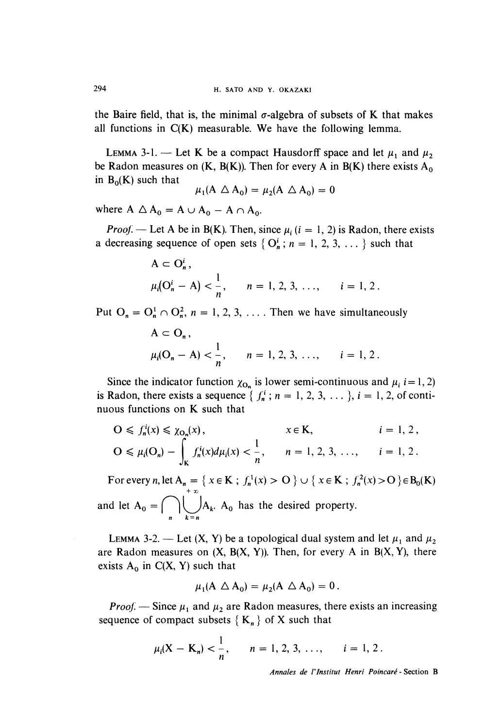the Baire field, that is, the minimal  $\sigma$ -algebra of subsets of K that makes all functions in  $C(K)$  measurable. We have the following lemma.

LEMMA 3-1. – Let K be a compact Hausdorff space and let  $\mu_1$  and  $\mu_2$ be Radon measures on  $(K, B(K))$ . Then for every A in  $B(K)$  there exists A<sub>0</sub> in  $B_0(K)$  such that

$$
\mu_1(A \triangle A_0) = \mu_2(A \triangle A_0) = 0
$$

where  $A \triangle A_0 = A \cup A_0 - A \cap A_0$ .

*Proof.* — Let A be in B(K). Then, since  $\mu$ , (i = 1, 2) is Radon, there exists a decreasing sequence of open sets { $O_n^i$ ;  $n = 1, 2, 3, ...$ } such that

$$
A \subset O_n^i,
$$
  
\n
$$
\mu_i(O_n^i - A) < \frac{1}{n}, \quad n = 1, 2, 3, \ldots, \quad i = 1, 2.
$$

Put  $O_n = O_n^1 \cap O_n^2$ ,  $n = 1, 2, 3, \ldots$ . Then we have simultaneously

$$
A \subset O_n
$$
,  
\n $\mu_i(O_n - A) < \frac{1}{n}$ ,  $n = 1, 2, 3, ..., i = 1, 2$ .

Since the indicator function  $\chi_{\mathbf{O}_n}$  is lower semi-continuous and  $\mu_i$  i = 1, 2) is Radon, there exists a sequence  $\{f_n^i; n = 1, 2, 3, \dots\}$ ,  $i = 1, 2,$  of continuous functions on K such that

$$
O \leq f_n^i(x) \leq \chi_{O_n}(x), \qquad x \in K, \qquad i = 1, 2,
$$
  
\n
$$
O \leq \mu_i(O_n) - \int_K f_n^i(x) d\mu_i(x) < \frac{1}{n}, \qquad n = 1, 2, 3, \dots, \qquad i = 1, 2.
$$

For every n, let  $A_n = \{x \in K : f_n^1(x) > 0\} \cup \{x \in K : f_n^2(x) > 0\} \in B_0(K)$ and let  $A_0 = \bigcap_{k=1}^{\infty} A_k$ .  $A_0$  has the desired property.

LEMMA 3-2. — Let  $(X, Y)$  be a topological dual system and let  $\mu_1$  and  $\mu_2$ are Radon measures on  $(X, B(X, Y))$ . Then, for every A in  $B(X, Y)$ , there exists  $A_0$  in  $C(X, Y)$  such that

$$
\mu_1(A \triangle A_0) = \mu_2(A \triangle A_0) = 0.
$$

*Proof.* — Since  $\mu_1$  and  $\mu_2$  are Radon measures, there exists an increasing sequence of compact subsets  ${K_n}$  of X such that

$$
\mu_i(X - K_n) < \frac{1}{n}
$$
,  $n = 1, 2, 3, ..., i = 1, 2$ .

Annales de l'lnstitut Henri Poincaré - Section B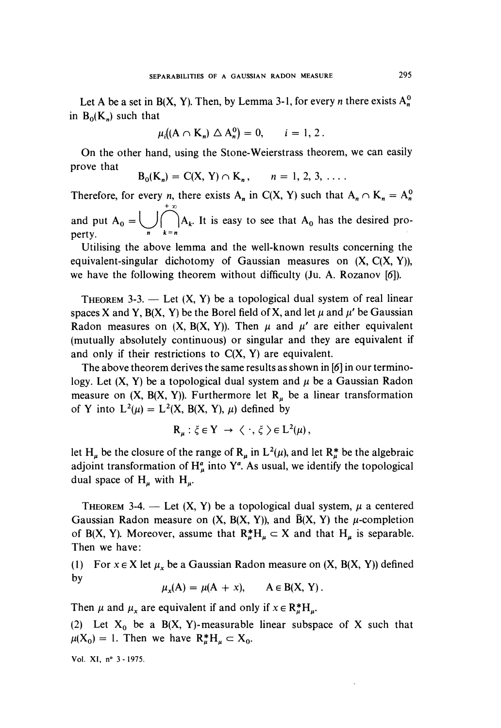Let A be a set in B(X, Y). Then, by Lemma 3-1, for every *n* there exists  $A_n^0$ in  $B_0(K_n)$  such that

$$
\mu_i((A \cap K_n) \triangle A_n^0) = 0, \quad i = 1, 2.
$$

On the other hand, using the Stone-Weierstrass theorem, we can easily

prove that 
$$
B_0(K_n) = C(X, Y) \cap K_n
$$
,  $n = 1, 2, 3, ...$ 

Therefore, for every *n*, there exists A<sub>n</sub> in C(X, Y) such that  $A_n \cap K_n = A_n^0$ + TO and put  $A_0 = \bigcup \begin{pmatrix} |A_k| & t \end{pmatrix}$  is easy to see that  $A_0$  has the desired property.  $n \quad k=n$ 

Utilising the above lemma and the well-known results concerning the equivalent-singular dichotomy of Gaussian measures on  $(X, C(X, Y))$ , we have the following theorem without difficulty (Ju. A. Rozanov [6]).

THEOREM 3-3. - Let  $(X, Y)$  be a topological dual system of real linear spaces X and Y, B(X, Y) be the Borel field of X, and let  $\mu$  and  $\mu'$  be Gaussian Radon measures on  $(X, B(X, Y))$ . Then  $\mu$  and  $\mu'$  are either equivalent (mutually absolutely continuous) or singular and they are equivalent if and only if their restrictions to  $C(X, Y)$  are equivalent.

The above theorem derives the same results as shown in [6] in our terminology. Let  $(X, Y)$  be a topological dual system and  $\mu$  be a Gaussian Radon measure on  $(X, B(X, Y))$ . Furthermore let  $R_u$  be a linear transformation of Y into  $L^2(\mu) = L^2(X, B(X, Y), \mu)$  defined by

$$
\mathbf{R}_{\mu} : \xi \in \mathbf{Y} \to \langle \cdot, \xi \rangle \in \mathbf{L}^{2}(\mu),
$$

let H<sub>u</sub> be the closure of the range of R<sub>u</sub> in L<sup>2</sup>( $\mu$ ), and let R<sup>\*</sup><sub>u</sub> be the algebraic adjoint transformation of  $H^a_\mu$  into  $Y^a$ . As usual, we identify the topological dual space of  $H_{\mu}$  with  $H_{\mu}$ .

THEOREM 3-4. — Let  $(X, Y)$  be a topological dual system,  $\mu$  a centered Gaussian Radon measure on  $(X, B(X, Y))$ , and  $\overline{B}(X, Y)$  the  $\mu$ -completion of B(X, Y). Moreover, assume that  $R_{\mu}^{*}H_{\mu} \subset X$  and that  $H_{\mu}$  is separable. Then we have:

(1) For  $x \in X$  let  $\mu_x$  be a Gaussian Radon measure on  $(X, B(X, Y))$  defined by

$$
\mu_x(A) = \mu(A + x), \qquad A \in B(X, Y).
$$

Then  $\mu$  and  $\mu_x$  are equivalent if and only if  $x \in \mathbb{R}^*_{\mu}H_{\mu}$ .

(2) Let  $X_0$  be a B(X, Y)-measurable linear subspace of X such that  $\mu(X_0) = 1$ . Then we have  $R^*_{\mu}H_{\mu} \subset X_0$ .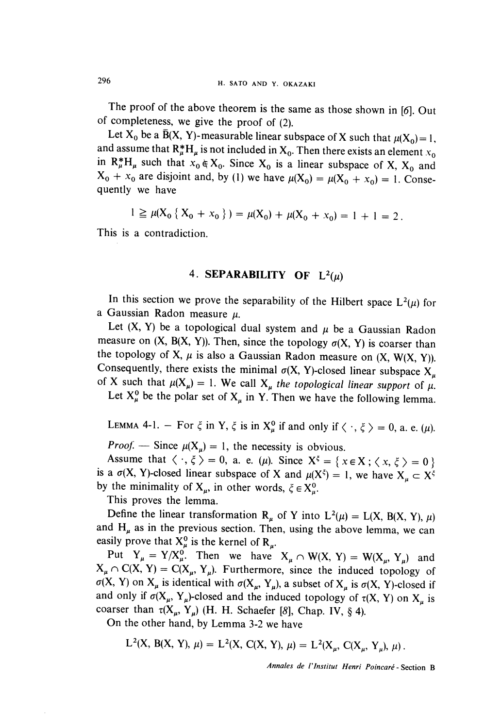The proof of the above theorem is the same as those shown in  $[6]$ . Out of completeness, we give the proof of (2).

Let  $X_0$  be a  $\overline{B}(X, Y)$ -measurable linear subspace of X such that  $\mu(X_0) = 1$ , and assume that  $\mathbb{R}_{\mu}^*H_{\mu}$  is not included in  $X_0$ . Then there exists an element  $x_0$ in  $R_{\mu}^*H_{\mu}$  such that  $x_0 \in X_0$ . Since  $X_0$  is a linear subspace of X,  $X_0$  and  $X_0 + x_0$  are disjoint and, by (1) we have  $\mu(X_0) = \mu(X_0 + x_0) = 1$ . Consequently we have

$$
1 \ge \mu(X_0 \{X_0 + x_0\}) = \mu(X_0) + \mu(X_0 + x_0) = 1 + 1 = 2.
$$

This is a contradiction.

#### 4. SEPARABILITY OF  $L^2(u)$

In this section we prove the separability of the Hilbert space  $L^2(\mu)$  for a Gaussian Radon measure  $\mu$ .

Let  $(X, Y)$  be a topological dual system and  $\mu$  be a Gaussian Radon measure on  $(X, B(X, Y))$ . Then, since the topology  $\sigma(X, Y)$  is coarser than the topology of X,  $\mu$  is also a Gaussian Radon measure on  $(X, W(X, Y))$ . Consequently, there exists the minimal  $\sigma(X, Y)$ -closed linear subspace  $X_u$ of X such that  $\mu(X_\mu) = 1$ . We call  $X_\mu$  the topological linear support of  $\mu$ .

Let  $X^0_\mu$  be the polar set of  $X_\mu$  in Y. Then we have the following lemma.

LEMMA 4-1. – For  $\xi$  in Y,  $\xi$  is in  $X^0_\mu$  if and only if  $\langle \cdot, \xi \rangle = 0$ , a. e. ( $\mu$ ).

*Proof.* — Since  $\mu(X_{\mu}) = 1$ , the necessity is obvious.<br>Assume that  $\langle \cdot, \xi \rangle = 0$ , a. e. ( $\mu$ ). Since  $X^{\xi} = \{ x \in X : \langle x, \xi \rangle = 0 \}$ is a  $\sigma(X, Y)$ -closed linear subspace of X and  $\mu(X^{\xi}) = 1$ , we have  $X_{\mu} \subset X^{\xi}$ by the minimality of  $X_{\mu}$ , in other words,  $\xi \in X_{\mu}^{0}$ .

This proves the lemma.

Define the linear transformation R<sub>u</sub> of Y into  $L^2(\mu) = L(X, B(X, Y), \mu)$ and  $H_{\mu}$  as in the previous section. Then, using the above lemma, we can easily prove that  $X^0_\mu$  is the kernel of  $R_\mu$ .

Put  $Y_{\mu} = Y/X_{\mu}^0$ . Then we have  $X_{\mu} \cap W(X, Y) = W(X_{\mu}, Y_{\mu})$  and  $X_{\mu} \cap C(X, Y) = C(X_{\mu}, Y_{\mu})$ . Furthermore, since the induced topology of  $\sigma(X, Y)$  on  $X_{\mu}$  is identical with  $\sigma(X_{\mu}, Y_{\mu})$ , a subset of  $X_{\mu}$  is  $\sigma(X, Y)$ -closed if and only if  $\sigma(X_\mu, Y_\mu)$ -closed and the induced topology of  $\tau(X, Y)$  on  $X_\mu$  is coarser than  $\tau(X_\mu, Y_\mu)$  (H. H. Schaefer [8], Chap. IV, § 4).

On the other hand, by Lemma 3-2 we have

$$
L^{2}(X, B(X, Y), \mu) = L^{2}(X, C(X, Y), \mu) = L^{2}(X_{\mu}, C(X_{\mu}, Y_{\mu}), \mu).
$$

Annales de l'lnstitut Henri Poincaré - Section B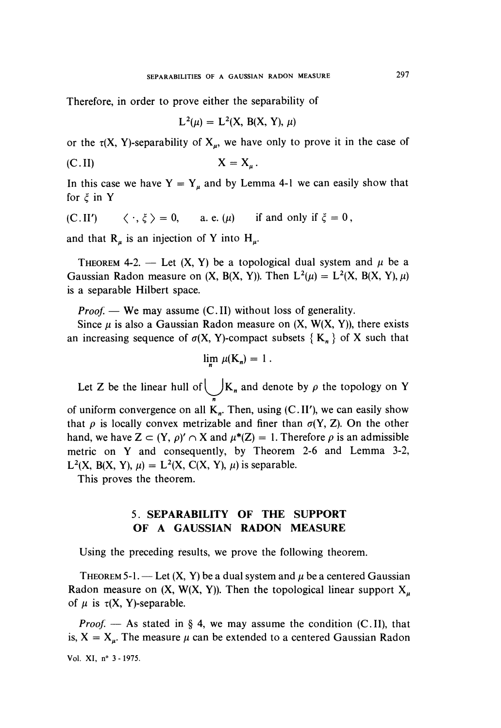Therefore, in order to prove either the separability of

$$
L^{2}(\mu) = L^{2}(X, B(X, Y), \mu)
$$

or the  $\tau(X, Y)$ -separability of  $X_{\mu}$ , we have only to prove it in the case of

$$
X = X_{\mu}
$$

In this case we have  $Y = Y_u$  and by Lemma 4-1 we can easily show that for  $\xi$  in Y

(C.II') 
$$
\langle \cdot, \xi \rangle = 0
$$
, a.e.  $(\mu)$  if and only if  $\xi = 0$ ,

and that  $\mathbf{R}_{\mu}$  is an injection of Y into  $\mathbf{H}_{\mu}$ .

THEOREM 4-2. — Let  $(X, Y)$  be a topological dual system and  $\mu$  be a Gaussian Radon measure on  $(X, B(X, Y))$ . Then  $L^2(\mu) = L^2(X, B(X, Y), \mu)$ is a separable Hilbert space.

*Proof.* — We may assume  $(C.II)$  without loss of generality.

Since  $\mu$  is also a Gaussian Radon measure on  $(X, W(X, Y))$ , there exists an increasing sequence of  $\sigma(X, Y)$ -compact subsets  $\{K_n\}$  of X such that

$$
\lim_{n \to \infty} \mu(K_n) = 1
$$

Let Z be the linear hull of  $\bigcup K_n$  and denote by  $\rho$  the topology on Y n of uniform convergence on all  $K_n$ . Then, using  $(C. II')$ , we can easily show that  $\rho$  is locally convex metrizable and finer than  $\sigma(Y, Z)$ . On the other hand, we have  $Z \subset (Y, \rho)' \cap X$  and  $\mu^*(Z) = 1$ . Therefore  $\rho$  is an admissible metric on Y and consequently, by Theorem 2-6 and Lemma 3-2, L<sup>2</sup>(X, B(X, Y),  $\mu$ ) = L<sup>2</sup>(X, C(X, Y),  $\mu$ ) is separable.

This proves the theorem.

#### 5. SEPARABILITY OF THE SUPPORT OF A GAUSSIAN RADON MEASURE

Using the preceding results, we prove the following theorem.

THEOREM 5-1. — Let  $(X, Y)$  be a dual system and  $\mu$  be a centered Gaussian Radon measure on  $(X, W(X, Y))$ . Then the topological linear support  $X_{\mu}$ of  $\mu$  is  $\tau(X, Y)$ -separable.

*Proof.* — As stated in § 4, we may assume the condition (C.II), that is,  $X = X_{\mu}$ . The measure  $\mu$  can be extended to a centered Gaussian Radon